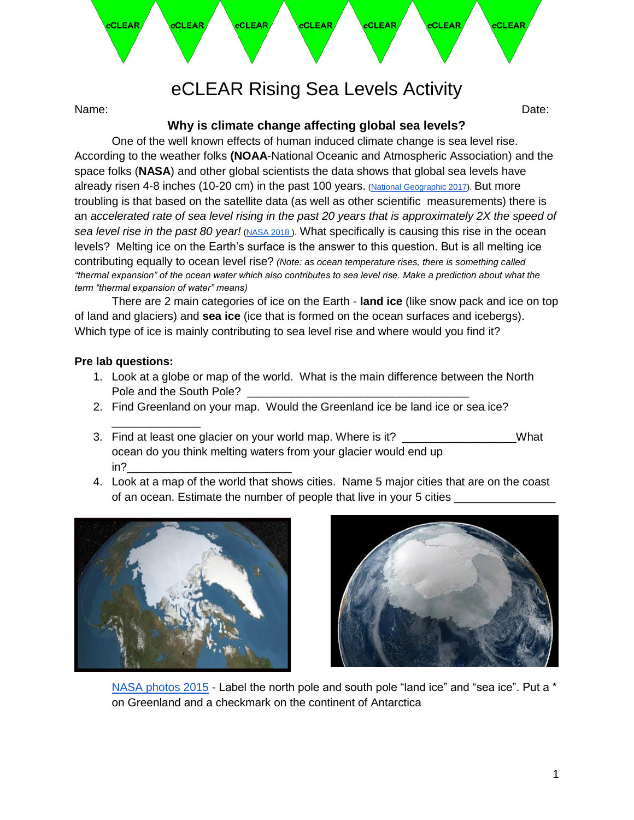

# eCLEAR Rising Sea Levels Activity

Name: Date:

## **Why is climate change affecting global sea levels?**

One of the well known effects of human induced climate change is sea level rise. According to the weather folks **(NOAA**-National Oceanic and Atmospheric Association) and the space folks (**NASA**) and other global scientists the data shows that global sea levels have already risen 4-8 inches (10-20 cm) in the past 100 years. [\(National Geographic 2017\)](https://www.nationalgeographic.com/environment/global-warming/sea-level-rise/). But more troubling is that based on the satellite data (as well as other scientific measurements) there is an *accelerated rate of sea level rising in the past 20 years that is approximately 2X the speed of sea level rise in the past 80 year!* [\(NASA 2018 \)](https://www.nasa.gov/feature/goddard/2018/new-study-finds-sea-level-rise-accelerating). What specifically is causing this rise in the ocean levels? Melting ice on the Earth's surface is the answer to this question. But is all melting ice contributing equally to ocean level rise? *(Note: as ocean temperature rises, there is something called "thermal expansion" of the ocean water which also contributes to sea level rise. Make a prediction about what the term "thermal expansion of water" means)*

There are 2 main categories of ice on the Earth - **land ice** (like snow pack and ice on top of land and glaciers) and **sea ice** (ice that is formed on the ocean surfaces and icebergs). Which type of ice is mainly contributing to sea level rise and where would you find it?

#### **Pre lab questions:**

\_\_\_\_\_\_\_\_\_\_\_\_\_\_

- 1. Look at a globe or map of the world. What is the main difference between the North Pole and the South Pole?
- 2. Find Greenland on your map. Would the Greenland ice be land ice or sea ice?
- 3. Find at least one glacier on your world map. Where is it? \_\_\_\_\_\_\_\_\_\_\_\_\_\_\_\_\_What ocean do you think melting waters from your glacier would end up in?\_\_\_\_\_\_\_\_\_\_\_\_\_\_\_\_\_\_\_\_\_\_\_\_\_\_
- 4. Look at a map of the world that shows cities. Name 5 major cities that are on the coast of an ocean. Estimate the number of people that live in your 5 cities





[NASA photos 2015](https://www.nasa.gov/content/goddard/nasa-study-shows-global-sea-ice-diminishing-despite-antarctic-gains) - Label the north pole and south pole "land ice" and "sea ice". Put a \* on Greenland and a checkmark on the continent of Antarctica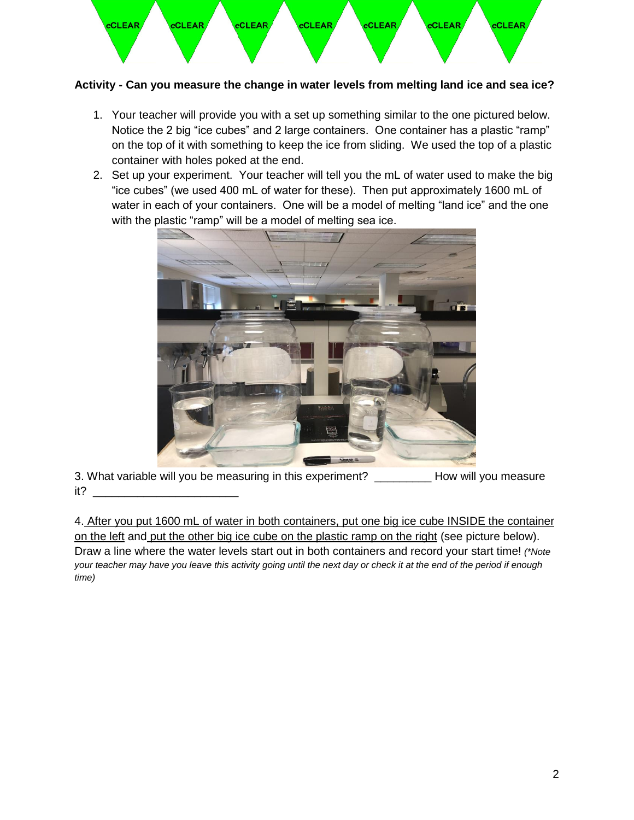

### **Activity - Can you measure the change in water levels from melting land ice and sea ice?**

- 1. Your teacher will provide you with a set up something similar to the one pictured below. Notice the 2 big "ice cubes" and 2 large containers. One container has a plastic "ramp" on the top of it with something to keep the ice from sliding. We used the top of a plastic container with holes poked at the end.
- 2. Set up your experiment. Your teacher will tell you the mL of water used to make the big "ice cubes" (we used 400 mL of water for these). Then put approximately 1600 mL of water in each of your containers. One will be a model of melting "land ice" and the one with the plastic "ramp" will be a model of melting sea ice.

![](_page_1_Picture_4.jpeg)

3. What variable will you be measuring in this experiment? How will you measure it? \_\_\_\_\_\_\_\_\_\_\_\_\_\_\_\_\_\_\_\_\_\_\_

4. After you put 1600 mL of water in both containers, put one big ice cube INSIDE the container on the left and put the other big ice cube on the plastic ramp on the right (see picture below). Draw a line where the water levels start out in both containers and record your start time! *(\*Note your teacher may have you leave this activity going until the next day or check it at the end of the period if enough time)*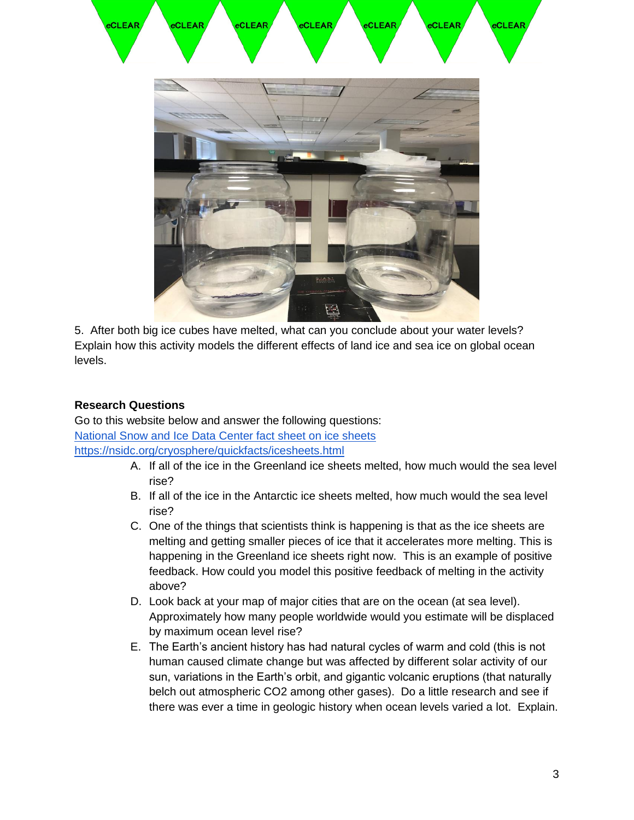![](_page_2_Picture_0.jpeg)

5. After both big ice cubes have melted, what can you conclude about your water levels? Explain how this activity models the different effects of land ice and sea ice on global ocean levels.

#### **Research Questions**

Go to this website below and answer the following questions: [National Snow and Ice Data Center fact sheet on ice sheets](https://nsidc.org/cryosphere/quickfacts/icesheets.html)  <https://nsidc.org/cryosphere/quickfacts/icesheets.html>

- A. If all of the ice in the Greenland ice sheets melted, how much would the sea level rise?
- B. If all of the ice in the Antarctic ice sheets melted, how much would the sea level rise?
- C. One of the things that scientists think is happening is that as the ice sheets are melting and getting smaller pieces of ice that it accelerates more melting. This is happening in the Greenland ice sheets right now. This is an example of positive feedback. How could you model this positive feedback of melting in the activity above?
- D. Look back at your map of major cities that are on the ocean (at sea level). Approximately how many people worldwide would you estimate will be displaced by maximum ocean level rise?
- E. The Earth's ancient history has had natural cycles of warm and cold (this is not human caused climate change but was affected by different solar activity of our sun, variations in the Earth's orbit, and gigantic volcanic eruptions (that naturally belch out atmospheric CO2 among other gases). Do a little research and see if there was ever a time in geologic history when ocean levels varied a lot. Explain.